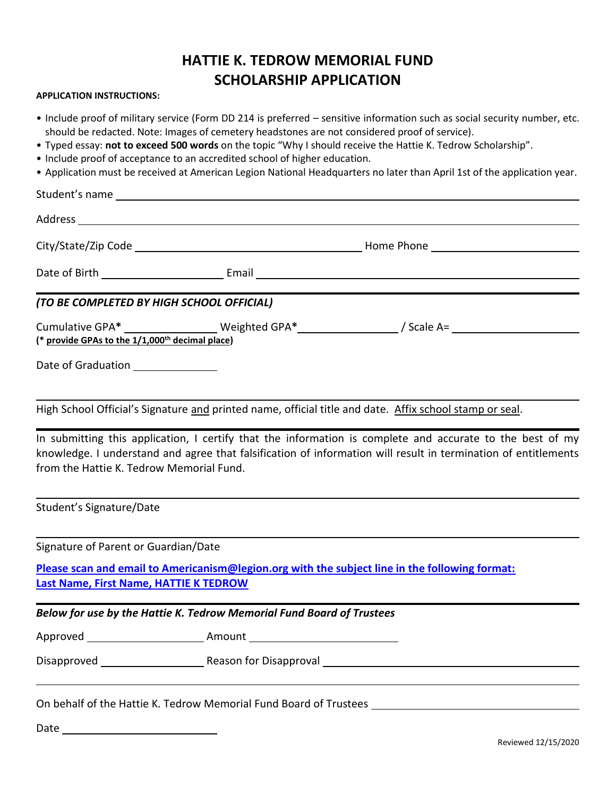## **HATTIE K. TEDROW MEMORIAL FUND SCHOLARSHIP APPLICATION**

## **APPLICATION INSTRUCTIONS:**

- Include proof of military service (Form DD 214 is preferred sensitive information such as social security number, etc. should be redacted. Note: Images of cemetery headstones are not considered proof of service).
- Typed essay: **not to exceed 500 words** on the topic "Why I should receive the Hattie K. Tedrow Scholarship".
- Include proof of acceptance to an accredited school of higher education.
- Application must be received at American Legion National Headquarters no later than April 1st of the application year.

|                                                             | Student's name |                                                                                                                                                                                                                             |  |
|-------------------------------------------------------------|----------------|-----------------------------------------------------------------------------------------------------------------------------------------------------------------------------------------------------------------------------|--|
|                                                             |                |                                                                                                                                                                                                                             |  |
|                                                             |                |                                                                                                                                                                                                                             |  |
|                                                             |                |                                                                                                                                                                                                                             |  |
| (TO BE COMPLETED BY HIGH SCHOOL OFFICIAL)                   |                |                                                                                                                                                                                                                             |  |
| (* provide GPAs to the 1/1,000 <sup>th</sup> decimal place) |                | Cumulative GPA* __________________Weighted GPA*____________________/ Scale A= ______________________                                                                                                                        |  |
| Date of Graduation ________________                         |                |                                                                                                                                                                                                                             |  |
|                                                             |                | High School Official's Signature and printed name, official title and date. Affix school stamp or seal.                                                                                                                     |  |
| from the Hattie K. Tedrow Memorial Fund.                    |                | In submitting this application, I certify that the information is complete and accurate to the best of my<br>knowledge. I understand and agree that falsification of information will result in termination of entitlements |  |
| Student's Signature/Date                                    |                |                                                                                                                                                                                                                             |  |

Signature of Parent or Guardian/Date

Date

**Please scan and email to Americanism@legion.org with the subject line in the following format: Last Name, First Name, HATTIE K TEDROW**

|                                                                                                                | Below for use by the Hattie K. Tedrow Memorial Fund Board of Trustees                                                                                                                                                         |  |
|----------------------------------------------------------------------------------------------------------------|-------------------------------------------------------------------------------------------------------------------------------------------------------------------------------------------------------------------------------|--|
| Approved ______________________                                                                                | Amount ____________________________                                                                                                                                                                                           |  |
| Disapproved and the state of the state of the state of the state of the state of the state of the state of the | Reason for Disapproval and the control of the control of the control of the control of the control of the control of the control of the control of the control of the control of the control of the control of the control of |  |
|                                                                                                                | On behalf of the Hattie K. Tedrow Memorial Fund Board of Trustees                                                                                                                                                             |  |